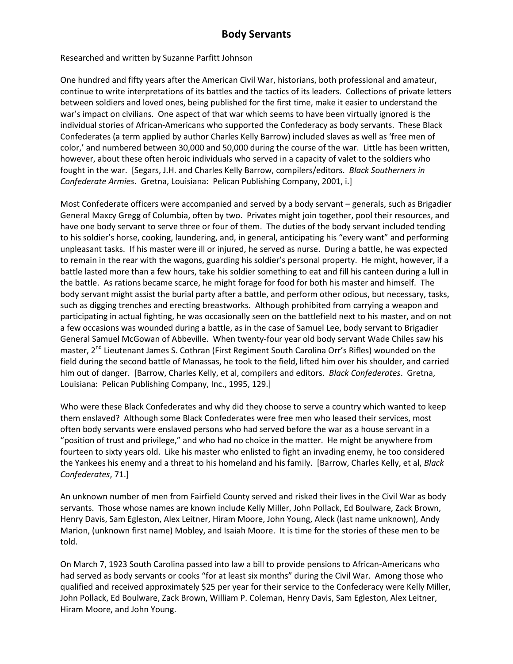Researched and written by Suzanne Parfitt Johnson

One hundred and fifty years after the American Civil War, historians, both professional and amateur, continue to write interpretations of its battles and the tactics of its leaders. Collections of private letters between soldiers and loved ones, being published for the first time, make it easier to understand the war's impact on civilians. One aspect of that war which seems to have been virtually ignored is the individual stories of African-Americans who supported the Confederacy as body servants. These Black Confederates (a term applied by author Charles Kelly Barrow) included slaves as well as 'free men of color,' and numbered between 30,000 and 50,000 during the course of the war. Little has been written, however, about these often heroic individuals who served in a capacity of valet to the soldiers who fought in the war. [Segars, J.H. and Charles Kelly Barrow, compilers/editors. *Black Southerners in Confederate Armies*. Gretna, Louisiana: Pelican Publishing Company, 2001, i.]

Most Confederate officers were accompanied and served by a body servant – generals, such as Brigadier General Maxcy Gregg of Columbia, often by two. Privates might join together, pool their resources, and have one body servant to serve three or four of them. The duties of the body servant included tending to his soldier's horse, cooking, laundering, and, in general, anticipating his "every want" and performing unpleasant tasks. If his master were ill or injured, he served as nurse. During a battle, he was expected to remain in the rear with the wagons, guarding his soldier's personal property. He might, however, if a battle lasted more than a few hours, take his soldier something to eat and fill his canteen during a lull in the battle. As rations became scarce, he might forage for food for both his master and himself. The body servant might assist the burial party after a battle, and perform other odious, but necessary, tasks, such as digging trenches and erecting breastworks. Although prohibited from carrying a weapon and participating in actual fighting, he was occasionally seen on the battlefield next to his master, and on not a few occasions was wounded during a battle, as in the case of Samuel Lee, body servant to Brigadier General Samuel McGowan of Abbeville. When twenty-four year old body servant Wade Chiles saw his master, 2<sup>nd</sup> Lieutenant James S. Cothran (First Regiment South Carolina Orr's Rifles) wounded on the field during the second battle of Manassas, he took to the field, lifted him over his shoulder, and carried him out of danger. [Barrow, Charles Kelly, et al, compilers and editors. *Black Confederates*. Gretna, Louisiana: Pelican Publishing Company, Inc., 1995, 129.]

Who were these Black Confederates and why did they choose to serve a country which wanted to keep them enslaved? Although some Black Confederates were free men who leased their services, most often body servants were enslaved persons who had served before the war as a house servant in a "position of trust and privilege," and who had no choice in the matter. He might be anywhere from fourteen to sixty years old. Like his master who enlisted to fight an invading enemy, he too considered the Yankees his enemy and a threat to his homeland and his family. [Barrow, Charles Kelly, et al, *Black Confederates*, 71.]

An unknown number of men from Fairfield County served and risked their lives in the Civil War as body servants. Those whose names are known include Kelly Miller, John Pollack, Ed Boulware, Zack Brown, Henry Davis, Sam Egleston, Alex Leitner, Hiram Moore, John Young, Aleck (last name unknown), Andy Marion, (unknown first name) Mobley, and Isaiah Moore. It is time for the stories of these men to be told.

On March 7, 1923 South Carolina passed into law a bill to provide pensions to African-Americans who had served as body servants or cooks "for at least six months" during the Civil War. Among those who qualified and received approximately \$25 per year for their service to the Confederacy were Kelly Miller, John Pollack, Ed Boulware, Zack Brown, William P. Coleman, Henry Davis, Sam Egleston, Alex Leitner, Hiram Moore, and John Young.